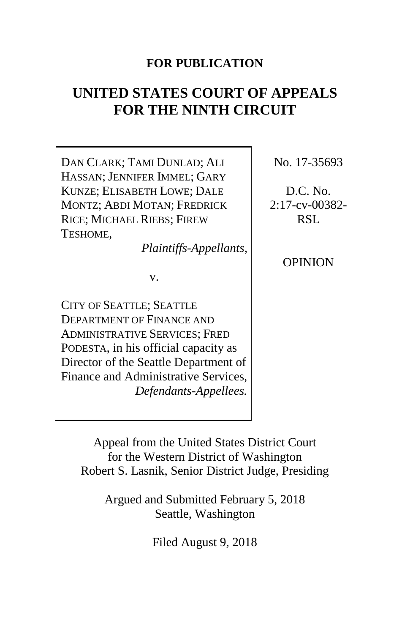# **FOR PUBLICATION**

# **UNITED STATES COURT OF APPEALS FOR THE NINTH CIRCUIT**

DAN CLARK; TAMI DUNLAD; ALI HASSAN; JENNIFER IMMEL; GARY KUNZE; ELISABETH LOWE; DALE MONTZ; ABDI MOTAN; FREDRICK RICE; MICHAEL RIEBS; FIREW TESHOME,

*Plaintiffs-Appellants*,

v.

CITY OF SEATTLE; SEATTLE DEPARTMENT OF FINANCE AND ADMINISTRATIVE SERVICES; FRED PODESTA, in his official capacity as Director of the Seattle Department of Finance and Administrative Services, *Defendants-Appellees.*

No. 17-35693

D.C. No. 2:17-cv-00382- RSL

OPINION

Appeal from the United States District Court for the Western District of Washington Robert S. Lasnik, Senior District Judge, Presiding

Argued and Submitted February 5, 2018 Seattle, Washington

Filed August 9, 2018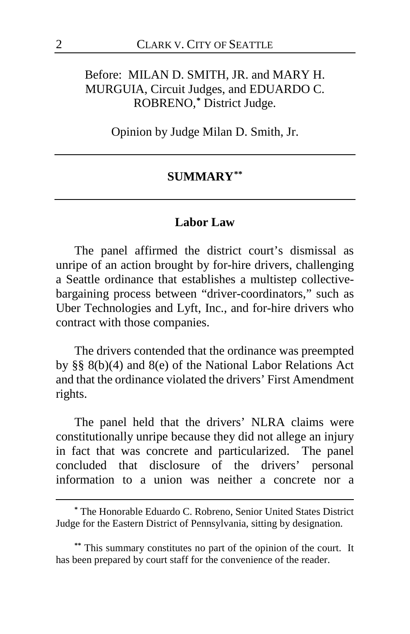# Before: MILAN D. SMITH, JR. and MARY H. MURGUIA, Circuit Judges, and EDUARDO C. ROBRENO, **[\\*](#page-1-0)** District Judge.

Opinion by Judge Milan D. Smith, Jr.

#### **SUMMARY[\\*\\*](#page-1-1)**

#### **Labor Law**

The panel affirmed the district court's dismissal as unripe of an action brought by for-hire drivers, challenging a Seattle ordinance that establishes a multistep collectivebargaining process between "driver-coordinators," such as Uber Technologies and Lyft, Inc., and for-hire drivers who contract with those companies.

The drivers contended that the ordinance was preempted by §§ 8(b)(4) and 8(e) of the National Labor Relations Act and that the ordinance violated the drivers' First Amendment rights.

The panel held that the drivers' NLRA claims were constitutionally unripe because they did not allege an injury in fact that was concrete and particularized. The panel concluded that disclosure of the drivers' personal information to a union was neither a concrete nor a

<span id="page-1-0"></span>**<sup>\*</sup>** The Honorable Eduardo C. Robreno, Senior United States District Judge for the Eastern District of Pennsylvania, sitting by designation.

<span id="page-1-1"></span>**<sup>\*\*</sup>** This summary constitutes no part of the opinion of the court. It has been prepared by court staff for the convenience of the reader.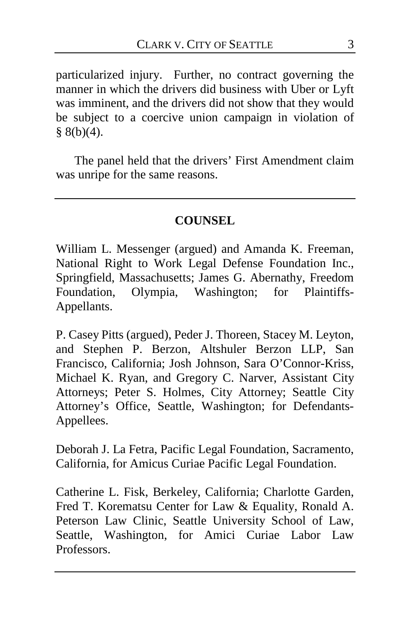particularized injury. Further, no contract governing the manner in which the drivers did business with Uber or Lyft was imminent, and the drivers did not show that they would be subject to a coercive union campaign in violation of  $§ 8(b)(4).$ 

The panel held that the drivers' First Amendment claim was unripe for the same reasons.

### **COUNSEL**

William L. Messenger (argued) and Amanda K. Freeman, National Right to Work Legal Defense Foundation Inc., Springfield, Massachusetts; James G. Abernathy, Freedom Foundation, Olympia, Washington; for Plaintiffs-Appellants.

P. Casey Pitts (argued), Peder J. Thoreen, Stacey M. Leyton, and Stephen P. Berzon, Altshuler Berzon LLP, San Francisco, California; Josh Johnson, Sara O'Connor-Kriss, Michael K. Ryan, and Gregory C. Narver, Assistant City Attorneys; Peter S. Holmes, City Attorney; Seattle City Attorney's Office, Seattle, Washington; for Defendants-Appellees.

Deborah J. La Fetra, Pacific Legal Foundation, Sacramento, California, for Amicus Curiae Pacific Legal Foundation.

Catherine L. Fisk, Berkeley, California; Charlotte Garden, Fred T. Korematsu Center for Law & Equality, Ronald A. Peterson Law Clinic, Seattle University School of Law, Seattle, Washington, for Amici Curiae Labor Law Professors.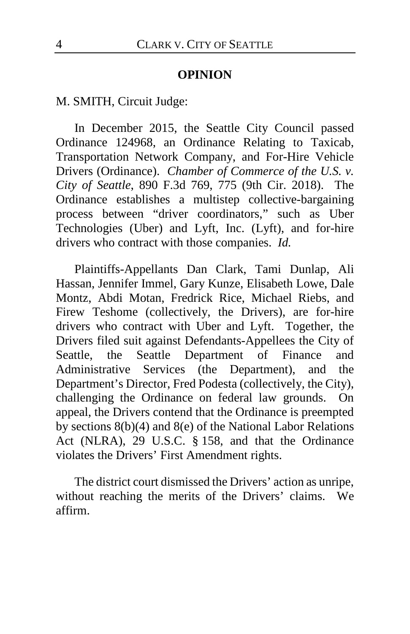#### **OPINION**

M. SMITH, Circuit Judge:

In December 2015, the Seattle City Council passed Ordinance 124968, an Ordinance Relating to Taxicab, Transportation Network Company, and For-Hire Vehicle Drivers (Ordinance). *Chamber of Commerce of the U.S. v. City of Seattle*, 890 F.3d 769, 775 (9th Cir. 2018). The Ordinance establishes a multistep collective-bargaining process between "driver coordinators," such as Uber Technologies (Uber) and Lyft, Inc. (Lyft), and for-hire drivers who contract with those companies. *Id.*

Plaintiffs-Appellants Dan Clark, Tami Dunlap, Ali Hassan, Jennifer Immel, Gary Kunze, Elisabeth Lowe, Dale Montz, Abdi Motan, Fredrick Rice, Michael Riebs, and Firew Teshome (collectively, the Drivers), are for-hire drivers who contract with Uber and Lyft. Together, the Drivers filed suit against Defendants-Appellees the City of Seattle, the Seattle Department of Finance and Administrative Services (the Department), and the Department's Director, Fred Podesta (collectively, the City), challenging the Ordinance on federal law grounds. On appeal, the Drivers contend that the Ordinance is preempted by sections 8(b)(4) and 8(e) of the National Labor Relations Act (NLRA), 29 U.S.C. § 158, and that the Ordinance violates the Drivers' First Amendment rights.

The district court dismissed the Drivers' action as unripe, without reaching the merits of the Drivers' claims. We affirm.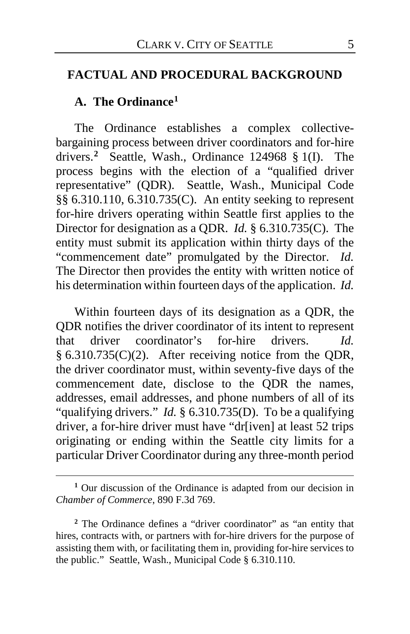#### **FACTUAL AND PROCEDURAL BACKGROUND**

#### **A. The Ordinance[1](#page-4-0)**

 $\overline{a}$ 

The Ordinance establishes a complex collectivebargaining process between driver coordinators and for-hire drivers.**[2](#page-4-1)** Seattle, Wash., Ordinance 124968 § 1(I). The process begins with the election of a "qualified driver representative" (QDR). Seattle, Wash., Municipal Code §§ 6.310.110, 6.310.735(C). An entity seeking to represent for-hire drivers operating within Seattle first applies to the Director for designation as a QDR. *Id.* § 6.310.735(C).The entity must submit its application within thirty days of the "commencement date" promulgated by the Director. *Id.* The Director then provides the entity with written notice of his determination within fourteen days of the application. *Id.*

Within fourteen days of its designation as a QDR, the QDR notifies the driver coordinator of its intent to represent that driver coordinator's for-hire drivers. *Id.*  § 6.310.735(C)(2). After receiving notice from the QDR, the driver coordinator must, within seventy-five days of the commencement date, disclose to the QDR the names, addresses, email addresses, and phone numbers of all of its "qualifying drivers." *Id.* § 6.310.735(D). To be a qualifying driver, a for-hire driver must have "dr[iven] at least 52 trips originating or ending within the Seattle city limits for a particular Driver Coordinator during any three-month period

<span id="page-4-0"></span>**<sup>1</sup>** Our discussion of the Ordinance is adapted from our decision in *Chamber of Commerce*, 890 F.3d 769.

<span id="page-4-1"></span>**<sup>2</sup>** The Ordinance defines a "driver coordinator" as "an entity that hires, contracts with, or partners with for-hire drivers for the purpose of assisting them with, or facilitating them in, providing for-hire services to the public." Seattle, Wash., Municipal Code § 6.310.110.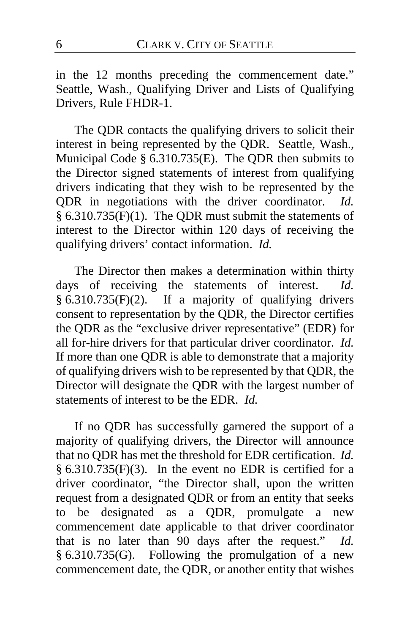in the 12 months preceding the commencement date." Seattle, Wash., Qualifying Driver and Lists of Qualifying Drivers, Rule FHDR-1.

The QDR contacts the qualifying drivers to solicit their interest in being represented by the QDR. Seattle, Wash., Municipal Code § 6.310.735(E). The QDR then submits to the Director signed statements of interest from qualifying drivers indicating that they wish to be represented by the QDR in negotiations with the driver coordinator. *Id.*  § 6.310.735(F)(1). The QDR must submit the statements of interest to the Director within 120 days of receiving the qualifying drivers' contact information. *Id.*

The Director then makes a determination within thirty days of receiving the statements of interest. *Id.*  § 6.310.735(F)(2). If a majority of qualifying drivers consent to representation by the QDR, the Director certifies the QDR as the "exclusive driver representative" (EDR) for all for-hire drivers for that particular driver coordinator. *Id.* If more than one QDR is able to demonstrate that a majority of qualifying drivers wish to be represented by that QDR, the Director will designate the QDR with the largest number of statements of interest to be the EDR. *Id.*

If no QDR has successfully garnered the support of a majority of qualifying drivers, the Director will announce that no QDR has met the threshold for EDR certification. *Id.*  § 6.310.735(F)(3). In the event no EDR is certified for a driver coordinator, "the Director shall, upon the written request from a designated QDR or from an entity that seeks to be designated as a QDR, promulgate a new commencement date applicable to that driver coordinator that is no later than 90 days after the request." *Id.*  § 6.310.735(G). Following the promulgation of a new commencement date, the QDR, or another entity that wishes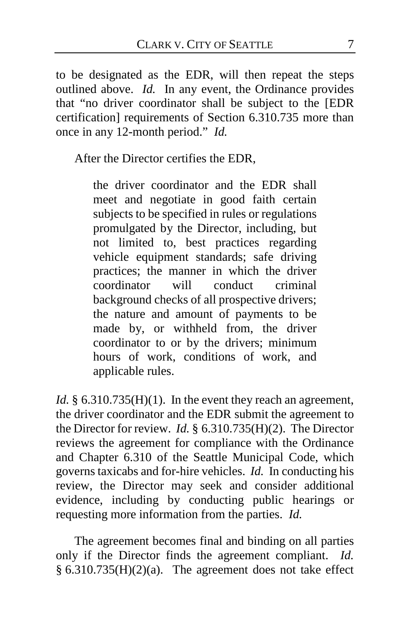to be designated as the EDR, will then repeat the steps outlined above. *Id.* In any event, the Ordinance provides that "no driver coordinator shall be subject to the [EDR certification] requirements of Section 6.310.735 more than once in any 12-month period." *Id.*

After the Director certifies the EDR,

the driver coordinator and the EDR shall meet and negotiate in good faith certain subjects to be specified in rules or regulations promulgated by the Director, including, but not limited to, best practices regarding vehicle equipment standards; safe driving practices; the manner in which the driver coordinator will conduct criminal background checks of all prospective drivers; the nature and amount of payments to be made by, or withheld from, the driver coordinator to or by the drivers; minimum hours of work, conditions of work, and applicable rules.

*Id.* § 6.310.735(H)(1). In the event they reach an agreement, the driver coordinator and the EDR submit the agreement to the Director for review. *Id.* § 6.310.735(H)(2). The Director reviews the agreement for compliance with the Ordinance and Chapter 6.310 of the Seattle Municipal Code, which governs taxicabs and for-hire vehicles. *Id.* In conducting his review, the Director may seek and consider additional evidence, including by conducting public hearings or requesting more information from the parties. *Id.*

The agreement becomes final and binding on all parties only if the Director finds the agreement compliant. *Id.*   $§ 6.310.735(H)(2)(a)$ . The agreement does not take effect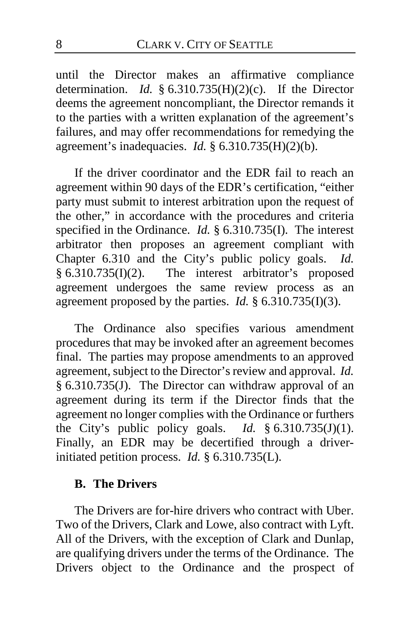until the Director makes an affirmative compliance determination. *Id.* § 6.310.735(H)(2)(c). If the Director deems the agreement noncompliant, the Director remands it to the parties with a written explanation of the agreement's failures, and may offer recommendations for remedying the agreement's inadequacies. *Id.* § 6.310.735(H)(2)(b).

If the driver coordinator and the EDR fail to reach an agreement within 90 days of the EDR's certification, "either party must submit to interest arbitration upon the request of the other," in accordance with the procedures and criteria specified in the Ordinance. *Id.* § 6.310.735(I). The interest arbitrator then proposes an agreement compliant with Chapter 6.310 and the City's public policy goals. *Id.*  § 6.310.735(I)(2). The interest arbitrator's proposed agreement undergoes the same review process as an agreement proposed by the parties. *Id.* § 6.310.735(I)(3).

The Ordinance also specifies various amendment procedures that may be invoked after an agreement becomes final. The parties may propose amendments to an approved agreement, subject to the Director's review and approval. *Id.*  § 6.310.735(J). The Director can withdraw approval of an agreement during its term if the Director finds that the agreement no longer complies with the Ordinance or furthers the City's public policy goals. *Id.* § 6.310.735(J)(1). Finally, an EDR may be decertified through a driverinitiated petition process. *Id.* § 6.310.735(L).

### **B. The Drivers**

The Drivers are for-hire drivers who contract with Uber. Two of the Drivers, Clark and Lowe, also contract with Lyft. All of the Drivers, with the exception of Clark and Dunlap, are qualifying drivers under the terms of the Ordinance. The Drivers object to the Ordinance and the prospect of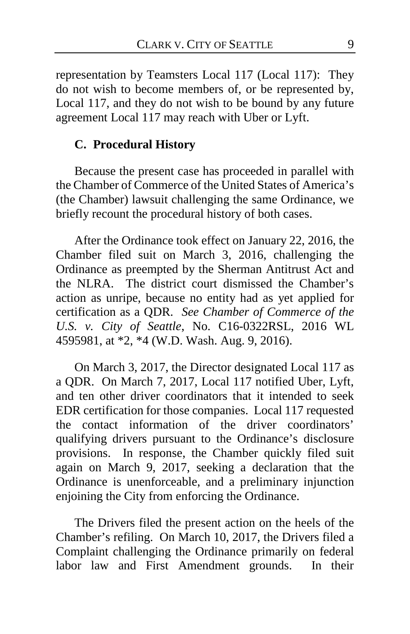representation by Teamsters Local 117 (Local 117): They do not wish to become members of, or be represented by, Local 117, and they do not wish to be bound by any future agreement Local 117 may reach with Uber or Lyft.

# **C. Procedural History**

Because the present case has proceeded in parallel with the Chamber of Commerce of the United States of America's (the Chamber) lawsuit challenging the same Ordinance, we briefly recount the procedural history of both cases.

After the Ordinance took effect on January 22, 2016, the Chamber filed suit on March 3, 2016, challenging the Ordinance as preempted by the Sherman Antitrust Act and the NLRA. The district court dismissed the Chamber's action as unripe, because no entity had as yet applied for certification as a QDR. *See Chamber of Commerce of the U.S. v. City of Seattle*, No. C16-0322RSL, 2016 WL 4595981, at \*2, \*4 (W.D. Wash. Aug. 9, 2016).

On March 3, 2017, the Director designated Local 117 as a QDR. On March 7, 2017, Local 117 notified Uber, Lyft, and ten other driver coordinators that it intended to seek EDR certification for those companies. Local 117 requested the contact information of the driver coordinators' qualifying drivers pursuant to the Ordinance's disclosure provisions. In response, the Chamber quickly filed suit again on March 9, 2017, seeking a declaration that the Ordinance is unenforceable, and a preliminary injunction enjoining the City from enforcing the Ordinance.

The Drivers filed the present action on the heels of the Chamber's refiling. On March 10, 2017, the Drivers filed a Complaint challenging the Ordinance primarily on federal labor law and First Amendment grounds. In their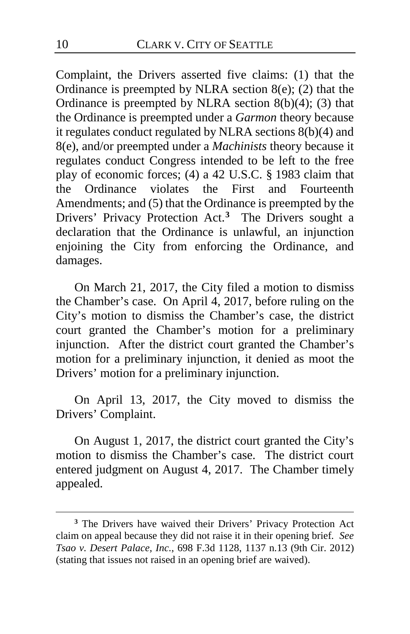Complaint, the Drivers asserted five claims: (1) that the Ordinance is preempted by NLRA section  $8(e)$ ; (2) that the Ordinance is preempted by NLRA section  $8(b)(4)$ ; (3) that the Ordinance is preempted under a *Garmon* theory because it regulates conduct regulated by NLRA sections 8(b)(4) and 8(e), and/or preempted under a *Machinists* theory because it regulates conduct Congress intended to be left to the free play of economic forces; (4) a 42 U.S.C. § 1983 claim that the Ordinance violates the First and Fourteenth Amendments; and (5) that the Ordinance is preempted by the Drivers' Privacy Protection Act.**[3](#page-9-0)** The Drivers sought a declaration that the Ordinance is unlawful, an injunction enjoining the City from enforcing the Ordinance, and damages.

On March 21, 2017, the City filed a motion to dismiss the Chamber's case. On April 4, 2017, before ruling on the City's motion to dismiss the Chamber's case, the district court granted the Chamber's motion for a preliminary injunction. After the district court granted the Chamber's motion for a preliminary injunction, it denied as moot the Drivers' motion for a preliminary injunction.

On April 13, 2017, the City moved to dismiss the Drivers' Complaint.

On August 1, 2017, the district court granted the City's motion to dismiss the Chamber's case. The district court entered judgment on August 4, 2017. The Chamber timely appealed.

<span id="page-9-0"></span>**<sup>3</sup>** The Drivers have waived their Drivers' Privacy Protection Act claim on appeal because they did not raise it in their opening brief. *See Tsao v. Desert Palace, Inc.*, 698 F.3d 1128, 1137 n.13 (9th Cir. 2012) (stating that issues not raised in an opening brief are waived).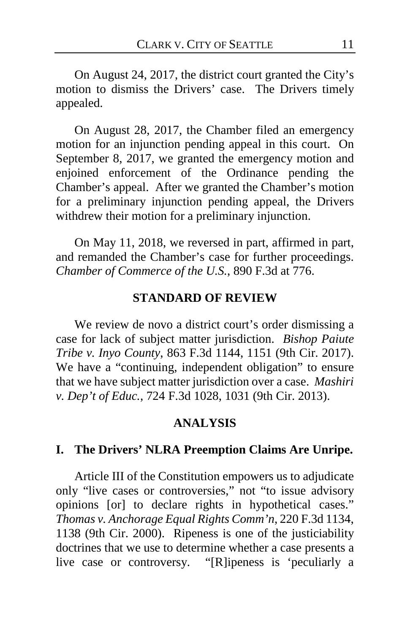On August 24, 2017, the district court granted the City's motion to dismiss the Drivers' case. The Drivers timely appealed.

On August 28, 2017, the Chamber filed an emergency motion for an injunction pending appeal in this court. On September 8, 2017, we granted the emergency motion and enjoined enforcement of the Ordinance pending the Chamber's appeal. After we granted the Chamber's motion for a preliminary injunction pending appeal, the Drivers withdrew their motion for a preliminary injunction.

On May 11, 2018, we reversed in part, affirmed in part, and remanded the Chamber's case for further proceedings. *Chamber of Commerce of the U.S.*, 890 F.3d at 776.

#### **STANDARD OF REVIEW**

We review de novo a district court's order dismissing a case for lack of subject matter jurisdiction. *Bishop Paiute Tribe v. Inyo County*, 863 F.3d 1144, 1151 (9th Cir. 2017). We have a "continuing, independent obligation" to ensure that we have subject matter jurisdiction over a case. *Mashiri v. Dep't of Educ.*, 724 F.3d 1028, 1031 (9th Cir. 2013).

#### **ANALYSIS**

### **I. The Drivers' NLRA Preemption Claims Are Unripe.**

Article III of the Constitution empowers us to adjudicate only "live cases or controversies," not "to issue advisory opinions [or] to declare rights in hypothetical cases." *Thomas v. Anchorage Equal Rights Comm'n*, 220 F.3d 1134, 1138 (9th Cir. 2000). Ripeness is one of the justiciability doctrines that we use to determine whether a case presents a live case or controversy. "[R]ipeness is 'peculiarly a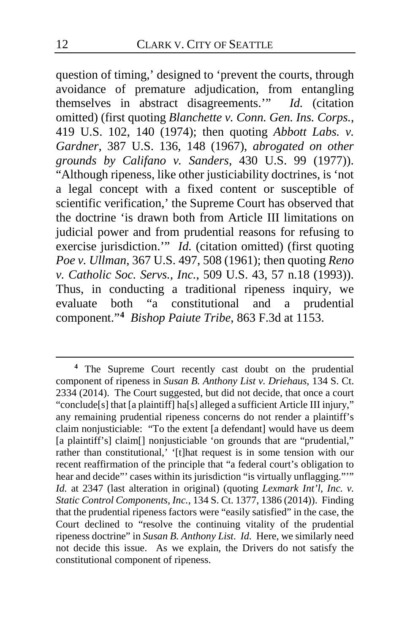question of timing,' designed to 'prevent the courts, through avoidance of premature adjudication, from entangling themselves in abstract disagreements.'" *Id.* (citation omitted) (first quoting *Blanchette v. Conn. Gen. Ins. Corps.*, 419 U.S. 102, 140 (1974); then quoting *Abbott Labs. v. Gardner*, 387 U.S. 136, 148 (1967), *abrogated on other grounds by Califano v. Sanders*, 430 U.S. 99 (1977)). "Although ripeness, like other justiciability doctrines, is 'not a legal concept with a fixed content or susceptible of scientific verification,' the Supreme Court has observed that the doctrine 'is drawn both from Article III limitations on judicial power and from prudential reasons for refusing to exercise jurisdiction." *Id.* (citation omitted) (first quoting *Poe v. Ullman*, 367 U.S. 497, 508 (1961); then quoting *Reno v. Catholic Soc. Servs., Inc.*, 509 U.S. 43, 57 n.18 (1993)). Thus, in conducting a traditional ripeness inquiry, we evaluate both "a constitutional and a prudential component."**[4](#page-11-0)** *Bishop Paiute Tribe*, 863 F.3d at 1153.

<span id="page-11-0"></span>**<sup>4</sup>** The Supreme Court recently cast doubt on the prudential component of ripeness in *Susan B. Anthony List v. Driehaus*, 134 S. Ct. 2334 (2014). The Court suggested, but did not decide, that once a court "conclude[s] that [a plaintiff] ha[s] alleged a sufficient Article III injury," any remaining prudential ripeness concerns do not render a plaintiff's claim nonjusticiable: "To the extent [a defendant] would have us deem [a plaintiff's] claim[] nonjusticiable 'on grounds that are "prudential," rather than constitutional,' '[t]hat request is in some tension with our recent reaffirmation of the principle that "a federal court's obligation to hear and decide"' cases within its jurisdiction "is virtually unflagging.""" *Id.* at 2347 (last alteration in original) (quoting *Lexmark Int'l, Inc. v. Static Control Components, Inc.*, 134 S. Ct. 1377, 1386 (2014)). Finding that the prudential ripeness factors were "easily satisfied" in the case, the Court declined to "resolve the continuing vitality of the prudential ripeness doctrine" in *Susan B. Anthony List*. *Id.* Here, we similarly need not decide this issue. As we explain, the Drivers do not satisfy the constitutional component of ripeness.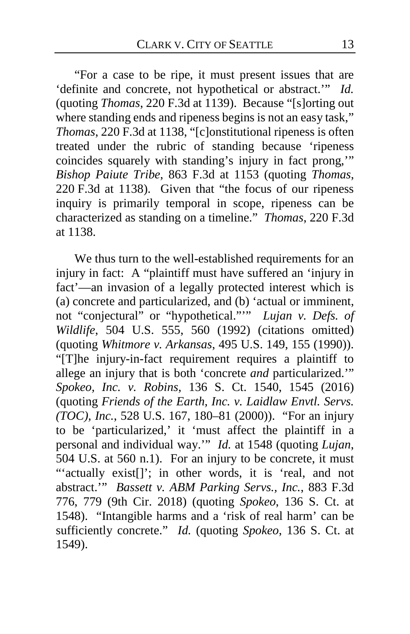"For a case to be ripe, it must present issues that are 'definite and concrete, not hypothetical or abstract.'" *Id.* (quoting *Thomas*, 220 F.3d at 1139). Because "[s]orting out where standing ends and ripeness begins is not an easy task," *Thomas*, 220 F.3d at 1138, "[c]onstitutional ripeness is often treated under the rubric of standing because 'ripeness coincides squarely with standing's injury in fact prong,'" *Bishop Paiute Tribe*, 863 F.3d at 1153 (quoting *Thomas*, 220 F.3d at 1138). Given that "the focus of our ripeness inquiry is primarily temporal in scope, ripeness can be characterized as standing on a timeline." *Thomas*, 220 F.3d at 1138.

We thus turn to the well-established requirements for an injury in fact: A "plaintiff must have suffered an 'injury in fact'—an invasion of a legally protected interest which is (a) concrete and particularized, and (b) 'actual or imminent, not "conjectural" or "hypothetical."'" *Lujan v. Defs. of Wildlife*, 504 U.S. 555, 560 (1992) (citations omitted) (quoting *Whitmore v. Arkansas*, 495 U.S. 149, 155 (1990)). "[T]he injury-in-fact requirement requires a plaintiff to allege an injury that is both 'concrete *and* particularized.'" *Spokeo, Inc. v. Robins*, 136 S. Ct. 1540, 1545 (2016) (quoting *Friends of the Earth, Inc. v. Laidlaw Envtl. Servs. (TOC), Inc.*, 528 U.S. 167, 180–81 (2000)). "For an injury to be 'particularized,' it 'must affect the plaintiff in a personal and individual way.'" *Id.* at 1548 (quoting *Lujan*, 504 U.S. at 560 n.1). For an injury to be concrete, it must "'actually exist[]'; in other words, it is 'real, and not abstract.'" *Bassett v. ABM Parking Servs., Inc.*, 883 F.3d 776, 779 (9th Cir. 2018) (quoting *Spokeo*, 136 S. Ct. at 1548). "Intangible harms and a 'risk of real harm' can be sufficiently concrete." *Id.* (quoting *Spokeo*, 136 S. Ct. at 1549).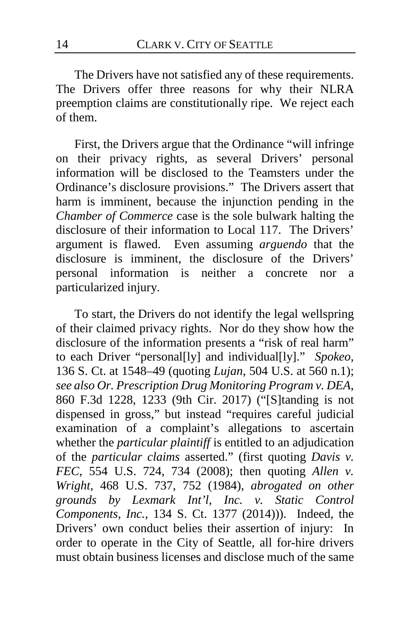The Drivers have not satisfied any of these requirements. The Drivers offer three reasons for why their NLRA preemption claims are constitutionally ripe. We reject each of them.

First, the Drivers argue that the Ordinance "will infringe on their privacy rights, as several Drivers' personal information will be disclosed to the Teamsters under the Ordinance's disclosure provisions." The Drivers assert that harm is imminent, because the injunction pending in the *Chamber of Commerce* case is the sole bulwark halting the disclosure of their information to Local 117. The Drivers' argument is flawed. Even assuming *arguendo* that the disclosure is imminent, the disclosure of the Drivers' personal information is neither a concrete nor a particularized injury.

To start, the Drivers do not identify the legal wellspring of their claimed privacy rights. Nor do they show how the disclosure of the information presents a "risk of real harm" to each Driver "personal[ly] and individual[ly]." *Spokeo*, 136 S. Ct. at 1548–49 (quoting *Lujan*, 504 U.S. at 560 n.1); *see also Or. Prescription Drug Monitoring Program v. DEA*, 860 F.3d 1228, 1233 (9th Cir. 2017) ("[S]tanding is not dispensed in gross," but instead "requires careful judicial examination of a complaint's allegations to ascertain whether the *particular plaintiff* is entitled to an adjudication of the *particular claims* asserted." (first quoting *Davis v. FEC*, 554 U.S. 724, 734 (2008); then quoting *Allen v. Wright*, 468 U.S. 737, 752 (1984), *abrogated on other grounds by Lexmark Int'l, Inc. v. Static Control Components, Inc.*, 134 S. Ct. 1377 (2014))). Indeed, the Drivers' own conduct belies their assertion of injury: In order to operate in the City of Seattle, all for-hire drivers must obtain business licenses and disclose much of the same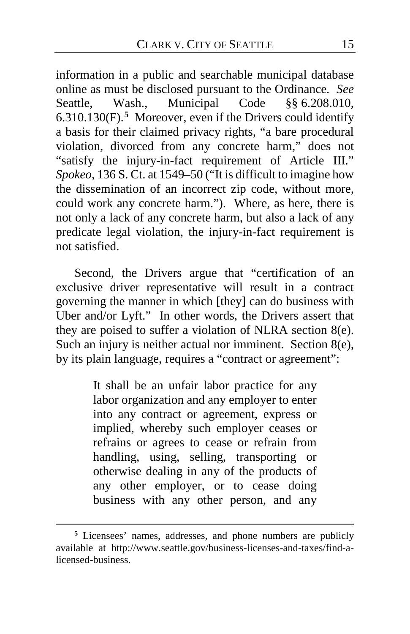information in a public and searchable municipal database online as must be disclosed pursuant to the Ordinance. *See*  Seattle, Wash., Municipal Code §§ 6.208.010, 6.310.130(F).**[5](#page-14-0)** Moreover, even if the Drivers could identify a basis for their claimed privacy rights, "a bare procedural violation, divorced from any concrete harm," does not "satisfy the injury-in-fact requirement of Article III." *Spokeo*, 136 S. Ct. at 1549–50 ("It is difficult to imagine how the dissemination of an incorrect zip code, without more, could work any concrete harm."). Where, as here, there is not only a lack of any concrete harm, but also a lack of any predicate legal violation, the injury-in-fact requirement is not satisfied.

Second, the Drivers argue that "certification of an exclusive driver representative will result in a contract governing the manner in which [they] can do business with Uber and/or Lyft." In other words, the Drivers assert that they are poised to suffer a violation of NLRA section 8(e). Such an injury is neither actual nor imminent. Section 8(e), by its plain language, requires a "contract or agreement":

> It shall be an unfair labor practice for any labor organization and any employer to enter into any contract or agreement, express or implied, whereby such employer ceases or refrains or agrees to cease or refrain from handling, using, selling, transporting or otherwise dealing in any of the products of any other employer, or to cease doing business with any other person, and any

<span id="page-14-0"></span>**<sup>5</sup>** Licensees' names, addresses, and phone numbers are publicly available at http://www.seattle.gov/business-licenses-and-taxes/find-alicensed-business.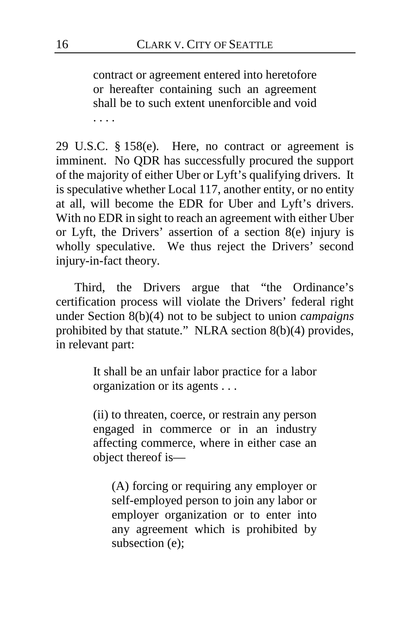contract or agreement entered into heretofore or hereafter containing such an agreement shall be to such extent unenforcible and void . . . .

29 U.S.C. § 158(e). Here, no contract or agreement is imminent. No QDR has successfully procured the support of the majority of either Uber or Lyft's qualifying drivers. It is speculative whether Local 117, another entity, or no entity at all, will become the EDR for Uber and Lyft's drivers. With no EDR in sight to reach an agreement with either Uber or Lyft, the Drivers' assertion of a section 8(e) injury is wholly speculative. We thus reject the Drivers' second injury-in-fact theory.

Third, the Drivers argue that "the Ordinance's certification process will violate the Drivers' federal right under Section 8(b)(4) not to be subject to union *campaigns*  prohibited by that statute." NLRA section 8(b)(4) provides, in relevant part:

> It shall be an unfair labor practice for a labor organization or its agents . . .

> (ii) to threaten, coerce, or restrain any person engaged in commerce or in an industry affecting commerce, where in either case an object thereof is—

(A) forcing or requiring any employer or self-employed person to join any labor or employer organization or to enter into any agreement which is prohibited by subsection (e);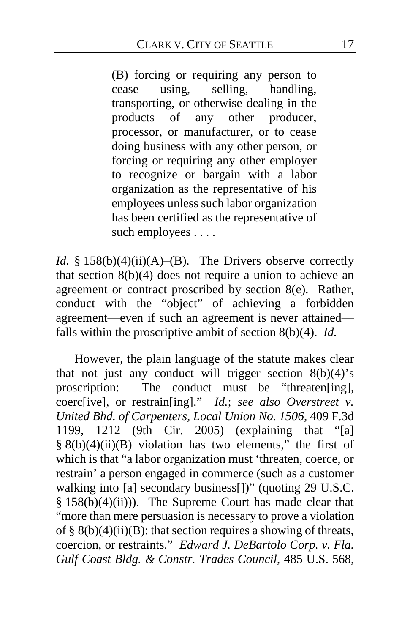(B) forcing or requiring any person to cease using, selling, handling, transporting, or otherwise dealing in the products of any other producer, processor, or manufacturer, or to cease doing business with any other person, or forcing or requiring any other employer to recognize or bargain with a labor organization as the representative of his employees unless such labor organization has been certified as the representative of such employees . . . .

*Id.* § 158(b)(4)(ii)(A)–(B). The Drivers observe correctly that section  $8(b)(4)$  does not require a union to achieve an agreement or contract proscribed by section 8(e). Rather, conduct with the "object" of achieving a forbidden agreement—even if such an agreement is never attained falls within the proscriptive ambit of section 8(b)(4). *Id.*

However, the plain language of the statute makes clear that not just any conduct will trigger section  $8(b)(4)$ 's proscription: The conduct must be "threaten[ing], The conduct must be "threaten[ing], coerc[ive], or restrain[ing]." *Id.*; *see also Overstreet v. United Bhd. of Carpenters, Local Union No. 1506*, 409 F.3d 1199, 1212 (9th Cir. 2005) (explaining that "[a]  $§ 8(b)(4)(ii)(B)$  violation has two elements," the first of which is that "a labor organization must 'threaten, coerce, or restrain' a person engaged in commerce (such as a customer walking into [a] secondary business[])" (quoting 29 U.S.C.  $§ 158(b)(4)(ii))$ . The Supreme Court has made clear that "more than mere persuasion is necessary to prove a violation of §  $8(b)(4)(ii)(B)$ : that section requires a showing of threats, coercion, or restraints." *Edward J. DeBartolo Corp. v. Fla. Gulf Coast Bldg. & Constr. Trades Council*, 485 U.S. 568,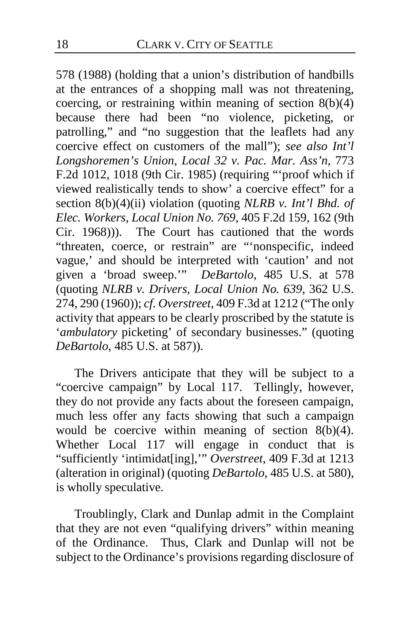578 (1988) (holding that a union's distribution of handbills at the entrances of a shopping mall was not threatening, coercing, or restraining within meaning of section 8(b)(4) because there had been "no violence, picketing, or patrolling," and "no suggestion that the leaflets had any coercive effect on customers of the mall"); *see also Int'l Longshoremen's Union, Local 32 v. Pac. Mar. Ass'n*, 773 F.2d 1012, 1018 (9th Cir. 1985) (requiring "'proof which if viewed realistically tends to show' a coercive effect" for a section 8(b)(4)(ii) violation (quoting *NLRB v. Int'l Bhd. of Elec. Workers, Local Union No. 769*, 405 F.2d 159, 162 (9th Cir. 1968))). The Court has cautioned that the words "threaten, coerce, or restrain" are "'nonspecific, indeed vague,' and should be interpreted with 'caution' and not given a 'broad sweep.'" *DeBartolo*, 485 U.S. at 578 (quoting *NLRB v. Drivers, Local Union No. 639*, 362 U.S. 274, 290 (1960)); *cf. Overstreet*, 409 F.3d at 1212 ("The only activity that appears to be clearly proscribed by the statute is '*ambulatory* picketing' of secondary businesses." (quoting *DeBartolo*, 485 U.S. at 587)).

The Drivers anticipate that they will be subject to a "coercive campaign" by Local 117. Tellingly, however, they do not provide any facts about the foreseen campaign, much less offer any facts showing that such a campaign would be coercive within meaning of section  $8(b)(4)$ . Whether Local 117 will engage in conduct that is "sufficiently 'intimidat[ing],'" *Overstreet*, 409 F.3d at 1213 (alteration in original) (quoting *DeBartolo*, 485 U.S. at 580), is wholly speculative.

Troublingly, Clark and Dunlap admit in the Complaint that they are not even "qualifying drivers" within meaning of the Ordinance. Thus, Clark and Dunlap will not be subject to the Ordinance's provisions regarding disclosure of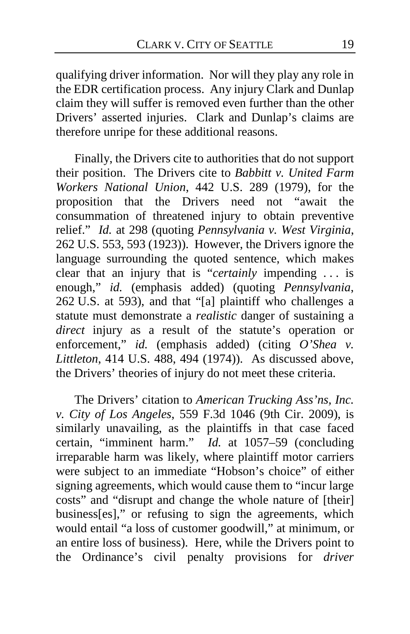qualifying driver information. Nor will they play any role in the EDR certification process. Any injury Clark and Dunlap claim they will suffer is removed even further than the other Drivers' asserted injuries. Clark and Dunlap's claims are therefore unripe for these additional reasons.

Finally, the Drivers cite to authorities that do not support their position. The Drivers cite to *Babbitt v. United Farm Workers National Union*, 442 U.S. 289 (1979), for the proposition that the Drivers need not "await the consummation of threatened injury to obtain preventive relief." *Id.* at 298 (quoting *Pennsylvania v. West Virginia*, 262 U.S. 553, 593 (1923)). However, the Drivers ignore the language surrounding the quoted sentence, which makes clear that an injury that is "*certainly* impending . . . is enough," *id.* (emphasis added) (quoting *Pennsylvania*, 262 U.S. at 593), and that "[a] plaintiff who challenges a statute must demonstrate a *realistic* danger of sustaining a *direct* injury as a result of the statute's operation or enforcement," *id.* (emphasis added) (citing *O'Shea v. Littleton*, 414 U.S. 488, 494 (1974)). As discussed above, the Drivers' theories of injury do not meet these criteria.

The Drivers' citation to *American Trucking Ass'ns, Inc. v. City of Los Angeles*, 559 F.3d 1046 (9th Cir. 2009), is similarly unavailing, as the plaintiffs in that case faced certain, "imminent harm." *Id.* at 1057–59 (concluding irreparable harm was likely, where plaintiff motor carriers were subject to an immediate "Hobson's choice" of either signing agreements, which would cause them to "incur large costs" and "disrupt and change the whole nature of [their] business[es]," or refusing to sign the agreements, which would entail "a loss of customer goodwill," at minimum, or an entire loss of business). Here, while the Drivers point to the Ordinance's civil penalty provisions for *driver*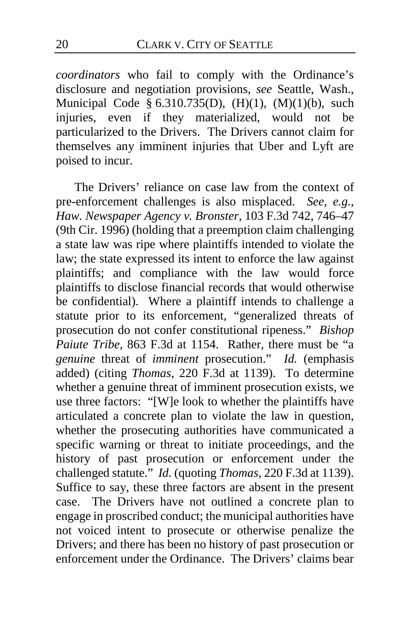*coordinators* who fail to comply with the Ordinance's disclosure and negotiation provisions, *see* Seattle, Wash., Municipal Code § 6.310.735(D),  $(H)(1)$ ,  $(M)(1)(b)$ , such injuries, even if they materialized, would not be particularized to the Drivers. The Drivers cannot claim for themselves any imminent injuries that Uber and Lyft are poised to incur.

The Drivers' reliance on case law from the context of pre-enforcement challenges is also misplaced. *See, e.g.*, *Haw. Newspaper Agency v. Bronster*, 103 F.3d 742, 746–47 (9th Cir. 1996) (holding that a preemption claim challenging a state law was ripe where plaintiffs intended to violate the law; the state expressed its intent to enforce the law against plaintiffs; and compliance with the law would force plaintiffs to disclose financial records that would otherwise be confidential). Where a plaintiff intends to challenge a statute prior to its enforcement, "generalized threats of prosecution do not confer constitutional ripeness." *Bishop Paiute Tribe*, 863 F.3d at 1154. Rather, there must be "a *genuine* threat of *imminent* prosecution." *Id.* (emphasis added) (citing *Thomas*, 220 F.3d at 1139). To determine whether a genuine threat of imminent prosecution exists, we use three factors: "[W]e look to whether the plaintiffs have articulated a concrete plan to violate the law in question, whether the prosecuting authorities have communicated a specific warning or threat to initiate proceedings, and the history of past prosecution or enforcement under the challenged statute." *Id.* (quoting *Thomas*, 220 F.3d at 1139). Suffice to say, these three factors are absent in the present case. The Drivers have not outlined a concrete plan to engage in proscribed conduct; the municipal authorities have not voiced intent to prosecute or otherwise penalize the Drivers; and there has been no history of past prosecution or enforcement under the Ordinance. The Drivers' claims bear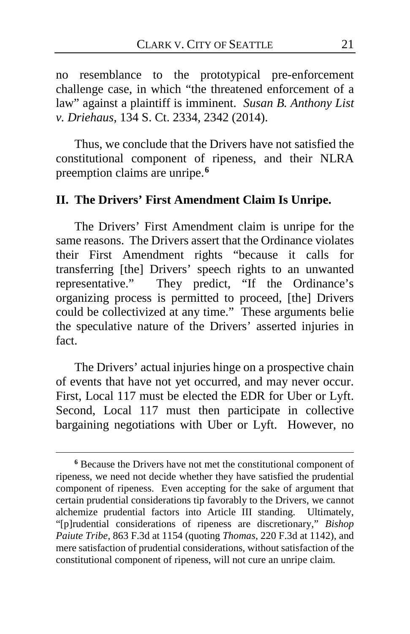no resemblance to the prototypical pre-enforcement challenge case, in which "the threatened enforcement of a law" against a plaintiff is imminent. *Susan B. Anthony List v. Driehaus*, 134 S. Ct. 2334, 2342 (2014).

Thus, we conclude that the Drivers have not satisfied the constitutional component of ripeness, and their NLRA preemption claims are unripe.**[6](#page-20-0)**

# **II. The Drivers' First Amendment Claim Is Unripe.**

The Drivers' First Amendment claim is unripe for the same reasons. The Drivers assert that the Ordinance violates their First Amendment rights "because it calls for transferring [the] Drivers' speech rights to an unwanted representative." They predict, "If the Ordinance's organizing process is permitted to proceed, [the] Drivers could be collectivized at any time." These arguments belie the speculative nature of the Drivers' asserted injuries in fact.

The Drivers' actual injuries hinge on a prospective chain of events that have not yet occurred, and may never occur. First, Local 117 must be elected the EDR for Uber or Lyft. Second, Local 117 must then participate in collective bargaining negotiations with Uber or Lyft. However, no

<span id="page-20-0"></span>**<sup>6</sup>** Because the Drivers have not met the constitutional component of ripeness, we need not decide whether they have satisfied the prudential component of ripeness. Even accepting for the sake of argument that certain prudential considerations tip favorably to the Drivers, we cannot alchemize prudential factors into Article III standing. Ultimately, "[p]rudential considerations of ripeness are discretionary," *Bishop Paiute Tribe*, 863 F.3d at 1154 (quoting *Thomas*, 220 F.3d at 1142), and mere satisfaction of prudential considerations, without satisfaction of the constitutional component of ripeness, will not cure an unripe claim.